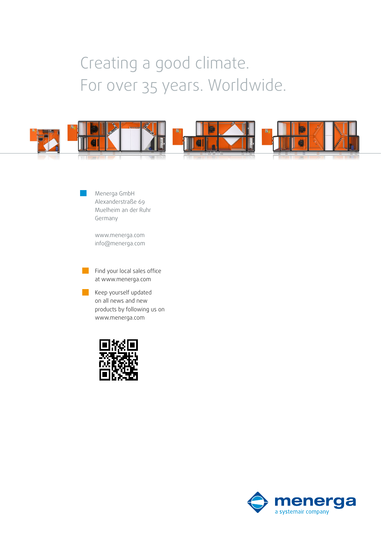### Creating a good climate. For over 35 years. Worldwide.



Menerga GmbH Alexanderstraße 69 Muelheim an der Ruhr Germany

www.menerga.com info@menerga.com

Find your local sales office at www.menerga.com

Keep yourself updated on all news and new products by following us on www.menerga.com



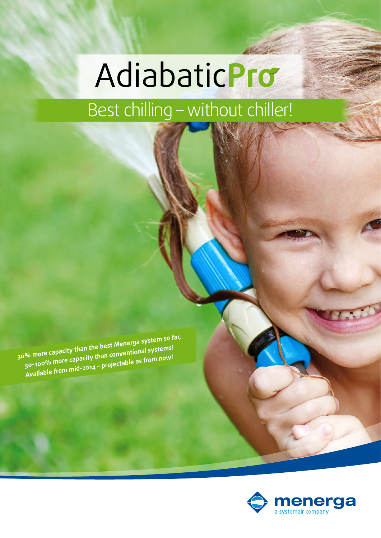# Best chilling – without chiller! Adiabatic**Pro**

**30% more capacity than the best Menerga system so far, 50-100% more capacity than conventional systems! Available from mid-2014 – projectable as from now!**

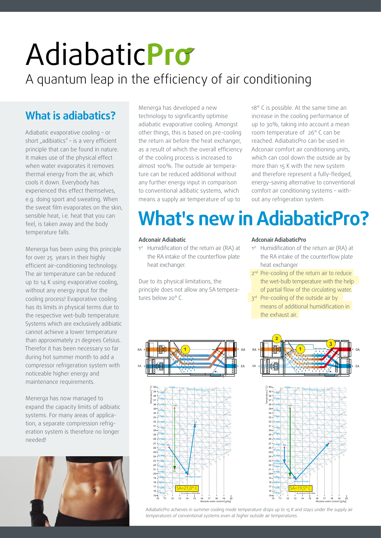## A quantum leap in the efficiency of air conditioning Adiabatic**Pro**

### **What is adiabatics?**

Adiabatic evaporative cooling – or short "adibiatics" – is a very efficient principle that can be found in nature. It makes use of the physical effect when water evaporates it removes thermal energy from the air, which cools it down. Everybody has experienced this effect themselves, e.g. doing sport and sweating. When the sweat film evaporates on the skin, sensible heat, i.e. heat that you can feel, is taken away and the body temperature falls.

Menerga has been using this principle for over 25 years in their highly efficient air-conditioning technology. The air temperature can be reduced up to 14 K using evaporative cooling, without any energy input for the cooling process! Evaporative cooling has its limits in physical terms due to the respective wet-bulb temperature. Systems which are exclusively adibiatic cannot achieve a lower temperature than approximately 21 degrees Celsius. Therefor it has been necessary so far during hot summer month to add a compressor refrigeration system with noticeable higher energy and maintenance requirements.

Menerga has now managed to expand the capacity limits of adibiatic systems. For many areas of application, a separate compression refrigeration system is therefore no longer needed!



Menerga has developed a new technology to significantly optimise adiabatic evaporative cooling. Amongst other things, this is based on pre-cooling the return air before the heat exchanger, as a result of which the overall efficiency of the cooling process is increased to almost 100%. The outside air temperature can be reduced additional without any further energy input in comparison to conventional adibatic systems, which means a supply air temperature of up to

18° C is possible. At the same time an increase in the cooling performance of up to 30%, taking into account a mean room temperature of 26° C can be reached. AdiabaticPro can be used in Adconair comfort air conditioning units, which can cool down the outside air by more than 15 K with the new system and therefore represent a fully-fledged, energy-saving alternative to conventional comfort air conditioning systems – without any refrigeration system.

## **What's new in AdiabaticPro?**

#### **Adconair Adiabatic**

1st Humidification of the return air (RA) at the RA intake of the counterflow plate heat exchanger.

Due to its physical limitations, the principle does not allow any SA temperatures below 20° C.

#### **Adconair AdiabaticPro**

- 1st Humidification of the return air (RA) at the RA intake of the counterflow plate heat exchanger
- 2<sup>nd</sup> Pre-cooling of the return air to reduce the wet-bulb temperature with the help of partial flow of the circulating water.
- 3rd Pre-cooling of the outside air by means of additional humidification in the exhaust air.





*AdiabaticPro achieves in summer cooling mode temperature drops up to 15 K and stays under the supply air temperatures of conventional systems even at higher outside air temperatures.*